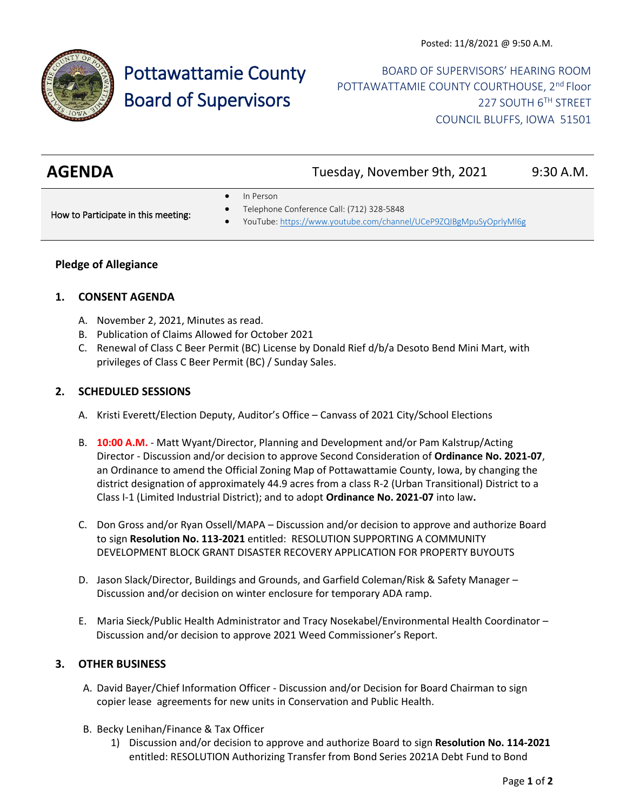

# Pottawattamie County Board of Supervisors

BOARD OF SUPERVISORS' HEARING ROOM POTTAWATTAMIE COUNTY COURTHOUSE, 2<sup>nd</sup> Floor 227 SOUTH 6TH STREET COUNCIL BLUFFS, IOWA 51501

| <b>AGENDA</b> |           | Tuesday, November 9th, 2021 | 9:30 A.M. |
|---------------|-----------|-----------------------------|-----------|
|               | In Dorcon |                             |           |

• In Person

How to Participate in this meeting:

- Telephone Conference Call: (712) 328-5848
- YouTube[: https://www.youtube.com/channel/UCeP9ZQIBgMpuSyOprlyMl6g](https://www.youtube.com/channel/UCeP9ZQIBgMpuSyOprlyMl6g)

## **Pledge of Allegiance**

#### **1. CONSENT AGENDA**

- A. November 2, 2021, Minutes as read.
- B. Publication of Claims Allowed for October 2021
- C. Renewal of Class C Beer Permit (BC) License by Donald Rief d/b/a Desoto Bend Mini Mart, with privileges of Class C Beer Permit (BC) / Sunday Sales.

#### **2. SCHEDULED SESSIONS**

- A. Kristi Everett/Election Deputy, Auditor's Office Canvass of 2021 City/School Elections
- B. **10:00 A.M.** Matt Wyant/Director, Planning and Development and/or Pam Kalstrup/Acting Director - Discussion and/or decision to approve Second Consideration of **Ordinance No. 2021-07**, an Ordinance to amend the Official Zoning Map of Pottawattamie County, Iowa, by changing the district designation of approximately 44.9 acres from a class R-2 (Urban Transitional) District to a Class I-1 (Limited Industrial District); and to adopt **Ordinance No. 2021-07** into law**.**
- C. Don Gross and/or Ryan Ossell/MAPA Discussion and/or decision to approve and authorize Board to sign **Resolution No. 113-2021** entitled: RESOLUTION SUPPORTING A COMMUNITY DEVELOPMENT BLOCK GRANT DISASTER RECOVERY APPLICATION FOR PROPERTY BUYOUTS
- D. Jason Slack/Director, Buildings and Grounds, and Garfield Coleman/Risk & Safety Manager Discussion and/or decision on winter enclosure for temporary ADA ramp.
- E. Maria Sieck/Public Health Administrator and Tracy Nosekabel/Environmental Health Coordinator Discussion and/or decision to approve 2021 Weed Commissioner's Report.

#### **3. OTHER BUSINESS**

- A. David Bayer/Chief Information Officer Discussion and/or Decision for Board Chairman to sign copier lease agreements for new units in Conservation and Public Health.
- B. Becky Lenihan/Finance & Tax Officer
	- 1) Discussion and/or decision to approve and authorize Board to sign **Resolution No. 114-2021** entitled: RESOLUTION Authorizing Transfer from Bond Series 2021A Debt Fund to Bond